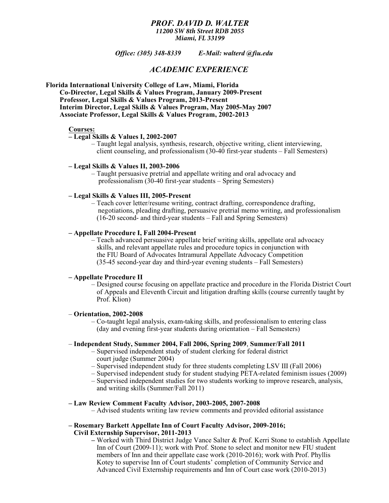### *PROF. DAVID D. WALTER 11200 SW 8th Street RDB 2055 Miami, FL 33199*

*Office: (305) 348-8339 E-Mail: walterd @fiu.edu*

# *ACADEMIC EXPERIENCE*

### **Florida International University College of Law, Miami, Florida Co-Director, Legal Skills & Values Program, January 2009-Present Professor, Legal Skills & Values Program, 2013-Present Interim Director, Legal Skills & Values Program, May 2005-May 2007 Associate Professor, Legal Skills & Values Program, 2002-2013**

#### **Courses:**

### **– Legal Skills & Values I, 2002-2007**

– Taught legal analysis, synthesis, research, objective writing, client interviewing, client counseling, and professionalism (30-40 first-year students – Fall Semesters)

### **– Legal Skills & Values II, 2003-2006**

– Taught persuasive pretrial and appellate writing and oral advocacy and professionalism (30-40 first-year students – Spring Semesters)

### **– Legal Skills & Values III, 2005-Present**

– Teach cover letter/resume writing, contract drafting, correspondence drafting, negotiations, pleading drafting, persuasive pretrial memo writing, and professionalism (16-20 second- and third-year students – Fall and Spring Semesters)

## **– Appellate Procedure I, Fall 2004-Present**

– Teach advanced persuasive appellate brief writing skills, appellate oral advocacy skills, and relevant appellate rules and procedure topics in conjunction with the FIU Board of Advocates Intramural Appellate Advocacy Competition (35-45 second-year day and third-year evening students – Fall Semesters)

#### **– Appellate Procedure II**

– Designed course focusing on appellate practice and procedure in the Florida District Court of Appeals and Eleventh Circuit and litigation drafting skills (course currently taught by Prof. Klion)

# – **Orientation, 2002-2008**

– Co-taught legal analysis, exam-taking skills, and professionalism to entering class (day and evening first-year students during orientation – Fall Semesters)

#### – **Independent Study, Summer 2004, Fall 2006, Spring 2009**, **Summer/Fall 2011**

- Supervised independent study of student clerking for federal district court judge (Summer 2004)
- Supervised independent study for three students completing LSV III (Fall 2006)
- Supervised independent study for student studying PETA-related feminism issues (2009)
- Supervised independent studies for two students working to improve research, analysis, and writing skills (Summer/Fall 2011)

### **– Law Review Comment Faculty Advisor, 2003-2005, 2007-2008**

– Advised students writing law review comments and provided editorial assistance

### **– Rosemary Barkett Appellate Inn of Court Faculty Advisor, 2009-2016; Civil Externship Supervisor, 2011-2013**

**–** Worked with Third District Judge Vance Salter & Prof. Kerri Stone to establish Appellate Inn of Court (2009-11); work with Prof. Stone to select and monitor new FIU student members of Inn and their appellate case work (2010-2016); work with Prof. Phyllis Kotey to supervise Inn of Court students' completion of Community Service and Advanced Civil Externship requirements and Inn of Court case work (2010-2013)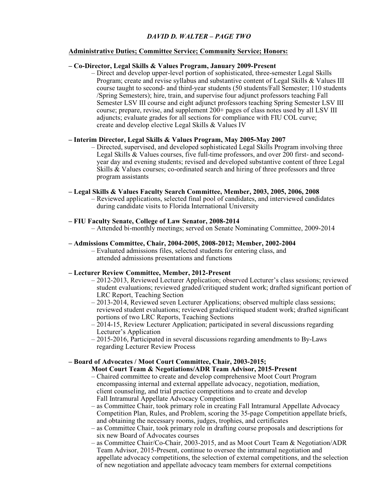# *DAVID D. WALTER – PAGE TWO*

# **Administrative Duties; Committee Service; Community Service; Honors:**

### **– Co-Director, Legal Skills & Values Program, January 2009-Present**

– Direct and develop upper-level portion of sophisticated, three-semester Legal Skills Program; create and revise syllabus and substantive content of Legal Skills & Values III course taught to second- and third-year students (50 students/Fall Semester; 110 students /Spring Semesters); hire, train, and supervise four adjunct professors teaching Fall Semester LSV III course and eight adjunct professors teaching Spring Semester LSV III course; prepare, revise, and supplement  $200+$  pages of class notes used by all LSV III adjuncts; evaluate grades for all sections for compliance with FIU COL curve; create and develop elective Legal Skills & Values IV

### **– Interim Director, Legal Skills & Values Program, May 2005-May 2007**

– Directed, supervised, and developed sophisticated Legal Skills Program involving three Legal Skills & Values courses, five full-time professors, and over 200 first- and second year day and evening students; revised and developed substantive content of three Legal Skills & Values courses; co-ordinated search and hiring of three professors and three program assistants

### **– Legal Skills & Values Faculty Search Committee, Member, 2003, 2005, 2006, 2008**

– Reviewed applications, selected final pool of candidates, and interviewed candidates during candidate visits to Florida International University

### **– FIU Faculty Senate, College of Law Senator, 2008-2014**

– Attended bi-monthly meetings; served on Senate Nominating Committee, 2009-2014

### **– Admissions Committee, Chair, 2004-2005, 2008-2012; Member, 2002-2004**

– Evaluated admissions files, selected students for entering class, and attended admissions presentations and functions

#### **– Lecturer Review Committee, Member, 2012-Present**

- 2012-2013, Reviewed Lecturer Application; observed Lecturer's class sessions; reviewed student evaluations; reviewed graded/critiqued student work; drafted significant portion of LRC Report, Teaching Section
- 2013-2014, Reviewed seven Lecturer Applications; observed multiple class sessions; reviewed student evaluations; reviewed graded/critiqued student work; drafted significant portions of two LRC Reports, Teaching Sections
- 2014-15, Review Lecturer Application; participated in several discussions regarding Lecturer's Application
- 2015-2016, Participated in several discussions regarding amendments to By-Laws regarding Lecturer Review Process

### **– Board of Advocates / Moot Court Committee, Chair, 2003-2015;**

# **Moot Court Team & Negotiations/ADR Team Advisor, 2015-Present**

- Chaired committee to create and develop comprehensive Moot Court Program encompassing internal and external appellate advocacy, negotiation, mediation, client counseling, and trial practice competitions and to create and develop Fall Intramural Appellate Advocacy Competition
- as Committee Chair, took primary role in creating Fall Intramural Appellate Advocacy Competition Plan, Rules, and Problem, scoring the 35-page Competition appellate briefs, and obtaining the necessary rooms, judges, trophies, and certificates
- as Committee Chair, took primary role in drafting course proposals and descriptions for six new Board of Advocates courses
- as Committee Chair/Co-Chair, 2003-2015, and as Moot Court Team & Negotiation/ADR Team Advisor, 2015-Present, continue to oversee the intramural negotiation and appellate advocacy competitions, the selection of external competitions, and the selection of new negotiation and appellate advocacy team members for external competitions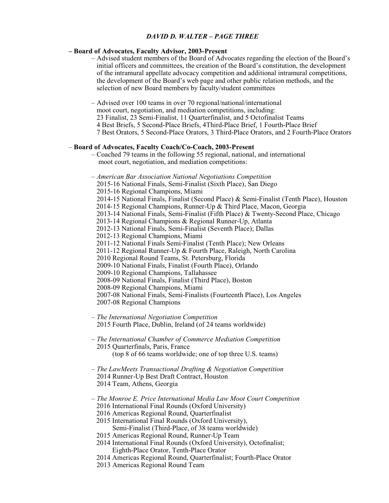# *DAVID D. WALTER – PAGE THREE*

### **– Board of Advocates, Faculty Advisor, 2003-Present**

– Advised student members of the Board of Advocates regarding the election of the Board's initial officers and committees, the creation of the Board's constitution, the development of the intramural appellate advocacy competition and additional intramural competitions, the development of the Board's web page and other public relation methods, and the selection of new Board members by faculty/student committees

– Advised over 100 teams in over 70 regional/national/international moot court, negotiation, and mediation competitions, including: 23 Finalist, 23 Semi-Finalist, 11 Quarterfinalist, and 5 Octofinalist Teams 4 Best Briefs, 5 Second-Place Briefs, 4Third-Place Brief, 1 Fourth-Place Brief 7 Best Orators, 5 Second-Place Orators, 3 Third-Place Orators, and 2 Fourth-Place Orators

### – **Board of Advocates, Faculty Coach/Co-Coach, 2003-Present**

– Coached 79 teams in the following 55 regional, national, and international moot court, negotiation, and mediation competitions:

*– American Bar Association National Negotiations Competition* 2015-16 National Finals, Semi-Finalist (Sixth Place), San Diego 2015-16 Regional Champions, Miami 2014-15 National Finals, Finalist (Second Place) & Semi-Finalist (Tenth Place), Houston 2014-15 Regional Champions, Runner-Up & Third Place, Macon, Georgia 2013-14 National Finals, Semi-Finalist (Fifth Place) & Twenty-Second Place, Chicago 2013-14 Regional Champions & Regional Runner-Up, Atlanta 2012-13 National Finals, Semi-Finalist (Seventh Place); Dallas 2012-13 Regional Champions, Miami 2011-12 National Finals Semi-Finalist (Tenth Place); New Orleans 2011-12 Regional Runner-Up & Fourth Place, Raleigh, North Carolina 2010 Regional Round Teams, St. Petersburg, Florida 2009-10 National Finals, Finalist (Fourth Place), Orlando 2009-10 Regional Champions, Tallahassee 2008-09 National Finals, Finalist (Third Place), Boston 2008-09 Regional Champions, Miami 2007-08 National Finals, Semi-Finalists (Fourteenth Place), Los Angeles 2007-08 Regional Champions

- *The International Negotiation Competition* 2015 Fourth Place, Dublin, Ireland (of 24 teams worldwide)
- *The International Chamber of Commerce Mediation Competition* 2015 Quarterfinals, Paris, France (top 8 of 66 teams worldwide; one of top three U.S. teams)
- *The LawMeets Transactional Drafting & Negotiation Competition*  2014 Runner-Up Best Draft Contract, Houston 2014 Team, Athens, Georgia
- *The Monroe E. Price International Media Law Moot Court Competition* 2016 International Final Rounds (Oxford University)
	- 2016 Americas Regional Round, Quarterfinalist
	- 2015 International Final Rounds (Oxford University),
		- Semi-Finalist (Third-Place, of 38 teams worldwide)
	- 2015 Americas Regional Round, Runner-Up Team
	- 2014 International Final Rounds (Oxford University), Octofinalist; Eighth-Place Orator, Tenth-Place Orator
	- 2014 Americas Regional Round, Quarterfinalist; Fourth-Place Orator
	- 2013 Americas Regional Round Team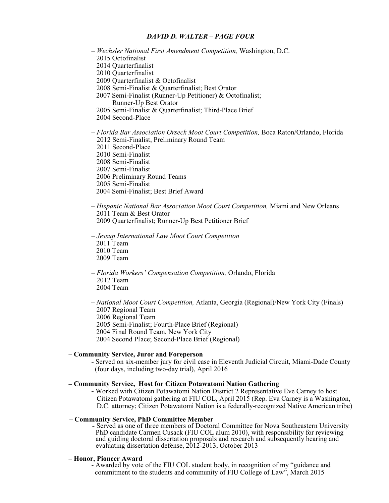### *DAVID D. WALTER – PAGE FOUR*

*– Wechsler National First Amendment Competition,* Washington, D.C. 2015 Octofinalist 2014 Quarterfinalist 2010 Quarterfinalist 2009 Quarterfinalist & Octofinalist 2008 Semi-Finalist & Quarterfinalist; Best Orator 2007 Semi-Finalist (Runner-Up Petitioner) & Octofinalist; Runner-Up Best Orator 2005 Semi-Finalist & Quarterfinalist; Third-Place Brief 2004 Second-Place *– Florida Bar Association Orseck Moot Court Competition,* Boca Raton/Orlando, Florida 2012 Semi-Finalist, Preliminary Round Team 2011 Second-Place 2010 Semi-Finalist 2008 Semi-Finalist

 2007 Semi-Finalist 2006 Preliminary Round Teams 2005 Semi-Finalist 2004 Semi-Finalist; Best Brief Award

- *Hispanic National Bar Association Moot Court Competition,* Miami and New Orleans 2011 Team & Best Orator 2009 Quarterfinalist; Runner-Up Best Petitioner Brief
- *Jessup International Law Moot Court Competition* 2011 Team 2010 Team 2009 Team
- *Florida Workers' Compensation Competition,* Orlando, Florida 2012 Team 2004 Team
- *National Moot Court Competition,* Atlanta, Georgia (Regional)/New York City (Finals) 2007 Regional Team 2006 Regional Team 2005 Semi-Finalist; Fourth-Place Brief (Regional) 2004 Final Round Team, New York City 2004 Second Place; Second-Place Brief (Regional)

### **– Community Service, Juror and Foreperson**

**-** Served on six-member jury for civil case in Eleventh Judicial Circuit, Miami-Dade County (four days, including two-day trial), April 2016

#### **– Community Service, Host for Citizen Potawatomi Nation Gathering**

**-** Worked with Citizen Potawatomi Nation District 2 Representative Eve Carney to host Citizen Potawatomi gathering at FIU COL, April 2015 (Rep. Eva Carney is a Washington, D.C. attorney; Citizen Potawatomi Nation is a federally-recognized Native American tribe)

# **– Community Service, PhD Committee Member**

 **-** Served as one of three members of Doctoral Committee for Nova Southeastern University PhD candidate Carmen Cusack (FIU COL alum 2010), with responsibility for reviewing and guiding doctoral dissertation proposals and research and subsequently hearing and evaluating dissertation defense, 2012-2013, October 2013

### **– Honor, Pioneer Award**

- Awarded by vote of the FIU COL student body, in recognition of my "guidance and commitment to the students and community of FIU College of Law", March 2015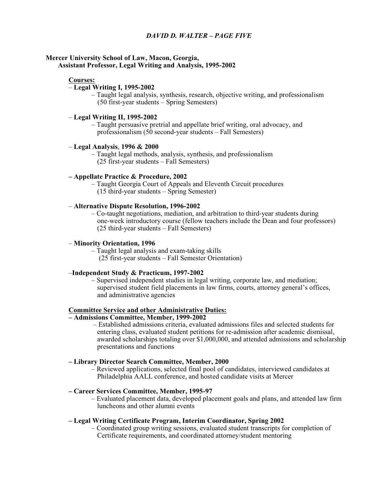# *DAVID D. WALTER – PAGE FIVE*

### **Mercer University School of Law, Macon, Georgia, Assistant Professor, Legal Writing and Analysis, 1995-2002**

#### **Courses:**

# – **Legal Writing I, 1995-2002**

– Taught legal analysis, synthesis, research, objective writing, and professionalism (50 first-year students – Spring Semesters)

#### – **Legal Writing II, 1995-2002**

– Taught persuasive pretrial and appellate brief writing, oral advocacy, and professionalism (50 second-year students – Fall Semesters)

# – **Legal Analysis**, **1996 & 2000**

– Taught legal methods, analysis, synthesis, and professionalism (25 first-year students – Fall Semesters)

### **– Appellate Practice & Procedure, 2002**

– Taught Georgia Court of Appeals and Eleventh Circuit procedures (15 third-year students – Spring Semester)

### – **Alternative Dispute Resolution, 1996-2002**

– Co-taught negotiations, mediation, and arbitration to third-year students during one-week introductory course (fellow teachers include the Dean and four professors) (25 third-year students – Fall Semesters)

### – **Minority Orientation, 1996**

– Taught legal analysis and exam-taking skills (25 first-year students – Fall Semester Orientation)

# –**Independent Study & Practicum, 1997-2002**

– Supervised independent studies in legal writing, corporate law, and mediation; supervised student field placements in law firms, courts, attorney general's offices, and administrative agencies

# **Committee Service and other Administrative Duties:**

#### **– Admissions Committee, Member, 1999-2002**

 – Established admissions criteria, evaluated admissions files and selected students for entering class, evaluated student petitions for re-admission after academic dismissal, awarded scholarships totaling over \$1,000,000, and attended admissions and scholarship presentations and functions

#### **– Library Director Search Committee, Member, 2000**

– Reviewed applications, selected final pool of candidates, interviewed candidates at Philadelphia AALL conference, and hosted candidate visits at Mercer

# **– Career Services Committee, Member, 1995-97**

– Evaluated placement data, developed placement goals and plans, and attended law firm luncheons and other alumni events

### **– Legal Writing Certificate Program, Interim Coordinator, Spring 2002**

– Coordinated group writing sessions, evaluated student transcripts for completion of Certificate requirements, and coordinated attorney/student mentoring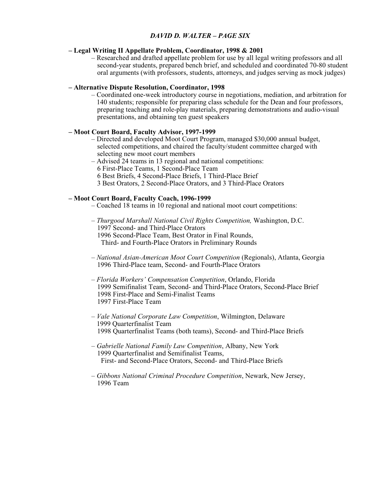# *DAVID D. WALTER – PAGE SIX*

### **– Legal Writing II Appellate Problem, Coordinator, 1998 & 2001**

– Researched and drafted appellate problem for use by all legal writing professors and all second-year students, prepared bench brief, and scheduled and coordinated 70-80 student oral arguments (with professors, students, attorneys, and judges serving as mock judges)

### **– Alternative Dispute Resolution, Coordinator, 1998**

 – Coordinated one-week introductory course in negotiations, mediation, and arbitration for 140 students; responsible for preparing class schedule for the Dean and four professors, preparing teaching and role-play materials, preparing demonstrations and audio-visual presentations, and obtaining ten guest speakers

### **– Moot Court Board, Faculty Advisor, 1997-1999**

– Directed and developed Moot Court Program, managed \$30,000 annual budget, selected competitions, and chaired the faculty/student committee charged with selecting new moot court members

– Advised 24 teams in 13 regional and national competitions: 6 First-Place Teams, 1 Second-Place Team 6 Best Briefs, 4 Second-Place Briefs, 1 Third-Place Brief 3 Best Orators, 2 Second-Place Orators, and 3 Third-Place Orators

### **– Moot Court Board, Faculty Coach, 1996-1999**

- Coached 18 teams in 10 regional and national moot court competitions:
- *Thurgood Marshall National Civil Rights Competition,* Washington, D.C. 1997 Second- and Third-Place Orators 1996 Second-Place Team, Best Orator in Final Rounds, Third- and Fourth-Place Orators in Preliminary Rounds
- – *National Asian-American Moot Court Competition* (Regionals), Atlanta, Georgia 1996 Third-Place team, Second- and Fourth-Place Orators
- *Florida Workers' Compensation Competition*, Orlando, Florida 1999 Semifinalist Team, Second- and Third-Place Orators, Second-Place Brief 1998 First-Place and Semi-Finalist Teams 1997 First-Place Team
- *Vale National Corporate Law Competition*, Wilmington, Delaware 1999 Quarterfinalist Team 1998 Quarterfinalist Teams (both teams), Second- and Third-Place Briefs
- *Gabrielle National Family Law Competition*, Albany, New York 1999 Quarterfinalist and Semifinalist Teams, First- and Second-Place Orators, Second- and Third-Place Briefs
- *Gibbons National Criminal Procedure Competition*, Newark, New Jersey, 1996 Team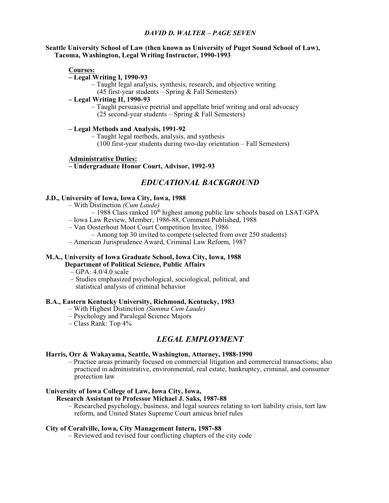# *DAVID D. WALTER – PAGE SEVEN*

### **Seattle University School of Law (then known as University of Puget Sound School of Law), Tacoma, Washington, Legal Writing Instructor, 1990-1993**

**Courses:**

### **– Legal Writing I, 1990-93**

– Taught legal analysis, synthesis, research, and objective writing

 $(45$  first-year students – Spring & Fall Semesters)

# **– Legal Writing II, 1990-93**

– Taught persuasive pretrial and appellate brief writing and oral advocacy (25 second-year students – Spring & Fall Semesters)

# **– Legal Methods and Analysis, 1991-92**

– Taught legal methods, analysis, and synthesis

(100 first-year students during two-day orientation – Fall Semesters)

# **Administrative Duties:**

# **– Undergraduate Honor Court, Advisor, 1992-93**

# *EDUCATIONAL BACKGROUND*

# **J.D., University of Iowa, Iowa City, Iowa, 1988**

- With Distinction *(Cum Laude)*
	- $-$  1988 Class ranked  $10<sup>th</sup>$  highest among public law schools based on LSAT/GPA
- Iowa Law Review, Member, 1986-88, Comment Published, 1988
- Van Oosterhout Moot Court Competition Invitee, 1986
	- Among top 30 invited to compete (selected from over 250 students)
- American Jurisprudence Award, Criminal Law Reform, 1987

# **M.A., University of Iowa Graduate School, Iowa City, Iowa, 1988 Department of Political Science, Public Affairs**

- GPA: 4.0/4.0 scale
- Studies emphasized psychological, sociological, political, and statistical analysis of criminal behavior

### **B.A., Eastern Kentucky University, Richmond, Kentucky, 1983**

- With Highest Distinction *(Summa Cum Laude)*
- Psychology and Paralegal Science Majors
- Class Rank: Top 4%

# *LEGAL EMPLOYMENT*

# **Harris, Orr & Wakayama, Seattle, Washington, Attorney, 1988-1990**

– Practice areas primarily focused on commercial litigation and commercial transactions; also practiced in administrative, environmental, real estate, bankruptcy, criminal, and consumer protection law

# **University of Iowa College of Law, Iowa City, Iowa,**

# **Research Assistant to Professor Michael J. Saks, 1987-88**

– Researched psychology, business, and legal sources relating to tort liability crisis, tort law reform, and United States Supreme Court amicus brief rules

### **City of Coralville, Iowa, City Management Intern, 1987-88**

– Reviewed and revised four conflicting chapters of the city code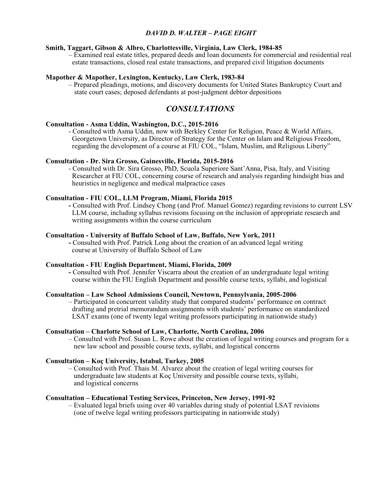# *DAVID D. WALTER – PAGE EIGHT*

### **Smith, Taggart, Gibson & Albro, Charlottesville, Virginia, Law Clerk, 1984-85**

– Examined real estate titles, prepared deeds and loan documents for commercial and residential real estate transactions, closed real estate transactions, and prepared civil litigation documents

# **Mapother & Mapother, Lexington, Kentucky, Law Clerk, 1983-84**

– Prepared pleadings, motions, and discovery documents for United States Bankruptcy Court and state court cases; deposed defendants at post-judgment debtor depositions

# *CONSULTATIONS*

# **Consultation - Asma Uddin, Washington, D.C., 2015-2016**

- Consulted with Asma Uddin, now with Berkley Center for Religion, Peace & World Affairs, Georgetown University, as Director of Strategy for the Center on Islam and Religious Freedom, regarding the development of a course at FIU COL, "Islam, Muslim, and Religious Liberty"

# **Consultation - Dr. Sira Grosso, Gainesville, Florida, 2015-2016**

- Consulted with Dr. Sira Grosso, PhD, Scuola Superiore Sant'Anna, Pisa, Italy, and Visiting Researcher at FIU COL, concerning course of research and analysis regarding hindsight bias and heuristics in negligence and medical malpractice cases

### **Consultation - FIU COL, LLM Program, Miami, Florida 2015**

**-** Consulted with Prof. Lindsey Chong (and Prof. Manuel Gomez) regarding revisions to current LSV LLM course, including syllabus revisions focusing on the inclusion of appropriate research and writing assignments within the course curriculum

# **Consultation - University of Buffalo School of Law, Buffalo, New York, 2011**

**-** Consulted with Prof. Patrick Long about the creation of an advanced legal writing course at University of Buffalo School of Law

#### **Consultation - FIU English Department, Miami, Florida, 2009**

**-** Consulted with Prof. Jennifer Viscarra about the creation of an undergraduate legal writing course within the FIU English Department and possible course texts, syllabi, and logistical

# **Consultation – Law School Admissions Council, Newtown, Pennsylvania, 2005-2006**

– Participated in concurrent validity study that compared students' performance on contract drafting and pretrial memorandum assignments with students' performance on standardized LSAT exams (one of twenty legal writing professors participating in nationwide study)

# **Consultation – Charlotte School of Law, Charlotte, North Carolina, 2006**

– Consulted with Prof. Susan L. Rowe about the creation of legal writing courses and program for a new law school and possible course texts, syllabi, and logistical concerns

#### **Consultation – Koç University, Istabul, Turkey, 2005**

– Consulted with Prof. Thais M. Alvarez about the creation of legal writing courses for undergraduate law students at Koç University and possible course texts, syllabi, and logistical concerns

# **Consultation – Educational Testing Services, Princeton, New Jersey, 1991-92**

– Evaluated legal briefs using over 40 variables during study of potential LSAT revisions (one of twelve legal writing professors participating in nationwide study)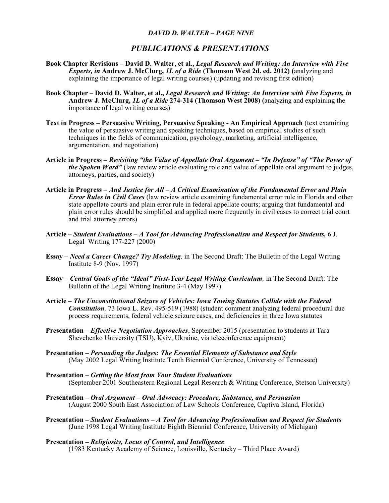# *DAVID D. WALTER – PAGE NINE*

# *PUBLICATIONS & PRESENTATIONS*

- **Book Chapter Revisions David D. Walter, et al.,** *Legal Research and Writing: An Interview with Five Experts, in* **Andrew J. McClurg,** *1L of a Ride* **(Thomson West 2d. ed. 2012) (**analyzing and explaining the importance of legal writing courses) (updating and revising first edition)
- **Book Chapter David D. Walter, et al.,** *Legal Research and Writing: An Interview with Five Experts, in* **Andrew J. McClurg,** *1L of a Ride* **274-314 (Thomson West 2008) (**analyzing and explaining the importance of legal writing courses)
- **Text in Progress Persuasive Writing, Persuasive Speaking An Empirical Approach** (text examining the value of persuasive writing and speaking techniques, based on empirical studies of such techniques in the fields of communication, psychology, marketing, artificial intelligence, argumentation, and negotiation)
- **Article in Progress** *Revisiting "the Value of Appellate Oral Argument "In Defense" of "The Power of the Spoken Word"* (law review article evaluating role and value of appellate oral argument to judges, attorneys, parties, and society)
- **Article in Progress** *And Justice for All A Critical Examination of the Fundamental Error and Plain Error Rules in Civil Cases* (law review article examining fundamental error rule in Florida and other state appellate courts and plain error rule in federal appellate courts; arguing that fundamental and plain error rules should be simplified and applied more frequently in civil cases to correct trial court and trial attorney errors)
- **Article** *Student Evaluations A Tool for Advancing Professionalism and Respect for Students,* 6 J. Legal Writing 177-227 (2000)
- **Essay** *Need a Career Change? Try Modeling,* in The Second Draft: The Bulletin of the Legal Writing Institute 8-9 (Nov. 1997)
- **Essay** *Central Goals of the "Ideal" First-Year Legal Writing Curriculum,* in The Second Draft: The Bulletin of the Legal Writing Institute 3-4 (May 1997)
- **Article –** *The Unconstitutional Seizure of Vehicles: Iowa Towing Statutes Collide with the Federal Constitution,* 73 Iowa L. Rev. 495-519 (1988) (student comment analyzing federal procedural due process requirements, federal vehicle seizure cases, and deficiencies in three Iowa statutes
- **Presentation** *Effective Negotiation Approaches*, September 2015 (presentation to students at Tara Shevchenko University (TSU), Kyiv, Ukraine, via teleconference equipment)
- **Presentation** *Persuading the Judges: The Essential Elements of Substance and Style* (May 2002 Legal Writing Institute Tenth Biennial Conference, University of Tennessee)
- **Presentation** *Getting the Most from Your Student Evaluations* (September 2001 Southeastern Regional Legal Research & Writing Conference, Stetson University)
- **Presentation** *Oral Argument Oral Advocacy: Procedure, Substance, and Persuasion* (August 2000 South East Association of Law Schools Conference, Captiva Island, Florida)
- **Presentation** *Student Evaluations A Tool for Advancing Professionalism and Respect for Students*  (June 1998 Legal Writing Institute Eighth Biennial Conference, University of Michigan)
- **Presentation** *Religiosity, Locus of Control, and Intelligence* (1983 Kentucky Academy of Science, Louisville, Kentucky – Third Place Award)